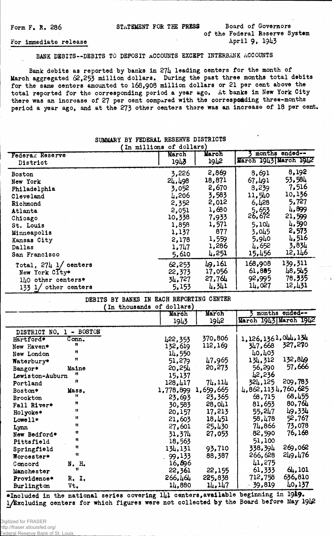Form F. R. 286 STATEMENT FOR THE PRESS Board of Governors

# of the Federal Reserve System April 9, 1943

#### For immediate release

BANK DEBITS— DEBITS TO DEPOSIT ACCOUNTS EXCEPT INTERBANK ACCOUNTS

Bank debits as reported by banks in  $27\mu$  leading centers for the month of March aggregated  $62,253$  million dollars. During the past three months total debits for the same centers amounted to 168,908 million dollars or 21 per cent above the total reported for the corresponding period a year ago. At banks in New York City there was an increase of 27 per cent compared with the corresponding three-months period a year ago, and at the 273 other centers there was an increase of 18 per cent.

#### SUMMARY BY FEDERAL RESERVE DISTRICTS (In millions of dollars) March ) *i* months ended— March Federak Reserve March 1943 March 1942 1942 1 1943 District Boston 3,226 2,869 8,691 8,192 New York 24,498 18,871 67,491 53,584 Philadelphia 3.052 2.670 3.239 7.516<br>Cleveland 4.206 3.583 11.540 10.136 Cleveland  $1,206$   $3,583$  11.540  $10,136$ Richmond 2,352 2,012 6,428 5,727 Atlanta 2,051 1,680  $\frac{5}{2}$ ,653  $\frac{1}{2}$ ,899 Chicago 10,338 7.933 26.672 21.599 St. Louis  $1,858$   $1,571$  5.104  $4,590$ Minneapolis 1.137 877 3.045 2.573<br>
Kansas City 2.178 1.559 5.940 4.516 Kansas City 2,178 1,559 5,940 4,510<br>Dallas 1,747 1,286 4,652 3,834 Dallas 1,747 1,286 4,652 3,834 Dallas  $1,747$   $1,286$   $4,652$   $5,834$ <br>San Francisco 5,610  $4,251$   $15,456$   $12,146$ Total, 274 1/ centers 62, 253 49, 161 168, 908 139, 311<br>New York City\* 22, 373 17, 056 61, 885 48, 545 New York City\* 22,373 17.056 61.885 48.545<br>140 other centers\* 34,727 27.764 92.995 78.335  $1\mu$ 0 other centers\* 34.727 27.764 92.995 75.2021<br>133 1/ other centers 5.153 4.341 14.027 12.431 133  $1/$  other centers

### DEBITS BY BANKS IN EACH REPORTING CENTER

|                            | (In thousands of dollars) |           |           |                       |
|----------------------------|---------------------------|-----------|-----------|-----------------------|
|                            |                           | March     | March     | months ended--        |
|                            |                           | 1943      | 1942      | March 1943 March 1942 |
| - BOSTON<br>DISTRICT NO. 1 |                           |           |           |                       |
| Hartford*<br>Conn.         |                           | 422,353   | 370,806   | 1,126,1361,044,134    |
| n<br>New Haven*            |                           | 132,619   | 112,169   | 327,270<br>347,668    |
| n<br>New London            |                           | 14,550    |           | 40,403                |
| Ħ<br>Waterbury*            |                           | 51,279    | 47,965    | 132,849<br>134,312    |
| Maine<br>Bangor*           |                           | 20,254    | 20,273    | 57,666<br>56,290      |
| n<br>Lewiston-Auburn       |                           | 15,137    |           | 42,236                |
| n<br>Portland              |                           | 128,417   | 74,114    | 209,783<br>324,125    |
| Boston*<br>Mass.           |                           | 1,778,899 | 1,659,665 | 4,862,1134,760,625    |
| Ħ<br><b>Brockton</b>       |                           | 23,693    | 23,365    | 68,455<br>68,715      |
| Ħ<br>Fall River*           |                           | 30,583    | 28,041    | 80,764<br>81,653      |
| 11<br>Holyoke*             |                           | 20,157    | 17,213    | 49,334<br>55,247      |
| Ħ<br>Lowell*               |                           | 21,603    | 18,451    | 52,767<br>58,478      |
| n<br>Lynn                  |                           | 27,601    | 25,430    | 73,078<br>74,866      |
| n<br>New Bedford*          |                           | 31,374    | 27,053    | 76,168<br>82,590      |
| Ħ<br>Pittsfield            |                           | 18,563    |           | 51,100                |
| Ħ<br>Springfield           |                           | 134,131   | 93,710    | 269,062<br>338,394    |
| $\mathbf{H}$<br>Worcester* |                           | 99,133    | 88,387    | 249,476<br>266,628    |
| N. H.<br>Concord           |                           | 16,696    |           | 41,275                |
| n<br>Manchester            |                           | 22,361    | 22,155    | 61,333<br>64,101      |
| Providence*<br>R. I.       |                           | 266,464   | 225,838   | 636,810<br>712,758    |
| Burlington<br>Vt.          |                           | 14,880    | 14,147    | 40,137<br>39,819      |

♦Included in the national series covering 141 centers,available 1/Excluding centers for which figures were not collected by the Board before May 1912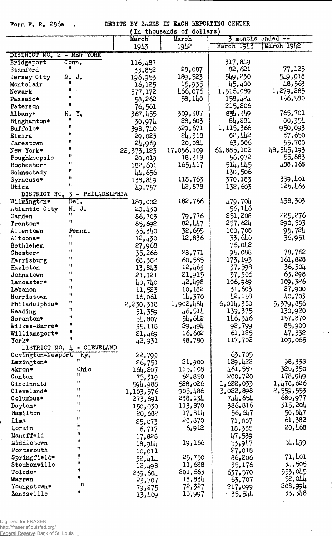Form F. R. 286a , DEBITS BY BANKS IN EACH REPORTING CENTER

 $\bar{z}$ 

 $\sim$   $\lambda$ 

|                                          |              | In thousands of dollars) |            |            |
|------------------------------------------|--------------|--------------------------|------------|------------|
|                                          | March        | March                    | months     | ended $-$  |
|                                          | 1943         | 1942                     | March 1943 | March 1942 |
| YORK<br>DISTRICT NO. 2 - NEW             |              |                          |            |            |
| $\overline{\text{Conn}}$ .<br>Bridgeport | 116,487      |                          | 317,849    |            |
| u<br>Stamford                            | 33,852       | 28,087                   | 82,621     | 77,125     |
| N. J.<br>Jersey City                     | 196,953      | 189,523                  | 549,230    | 549,018    |
| n<br>Montclair                           | 16,125       | 15,935                   | 45,400     | 48,563     |
| 11<br>Newark                             | 577,172      | 466,076                  | 1,516,089  | 1,279,285  |
| Ħ<br>Passaic*                            | 58,262       | 58,140                   | 158,424    | 156,580    |
| Ħ<br>Paterson                            | 76,561       |                          | 215,206    |            |
| Y,<br>Albany*<br>N.                      | 367,455      | 309,387                  | 834,349    | 765,701    |
| Ħ<br>Binghamton*                         | 30,974       | 28,603                   | 84,281     | 80,354     |
| Ħ<br>Buffalo*                            |              | 329,671                  | 1,115,366  | 950,093    |
| Ħ<br>Elmira                              | 398,740      | 24,318                   | 82,442     | 67,650     |
| 11                                       | 29,023       | 20,084                   | 63,006     | 55,700     |
| Jamestown<br>11                          | 24,969       |                          | 61,885,102 | 48,545,193 |
| New York*<br>n                           | 22, 373, 123 | 17,056,109               | 56,972     | 55,883     |
| Poughkeepsie<br>₩                        | 20,019       | 18,318                   |            |            |
| Rochester*<br>Ħ                          | 182,601      | 165,417                  | 514,445    | 488,168    |
| Schnectady<br>Ħ                          | 44,656       |                          | 130,506    |            |
| Syracuse*<br>$\mathbf{H}$                | 138,849      | 118,763                  | 370,183    | .339,401   |
| Utica                                    | 49,757       | 42,878                   | 132,603    | 125,463    |
| - PHILADELPHIA<br>DISTRICT NO.<br>3      |              |                          |            |            |
| Del.<br>Wilmington*                      | 189,002      | 182,756                  | 479,704    | 438,303    |
| Atlantic City<br>N.<br>J.<br>Ħ           | 20,430       |                          | 56,146     |            |
| Camden<br>Ħ                              | 86,703       | 79,776                   | 251,208    | 225,276    |
| Trenton*                                 | 85,692       | 82,447                   | 257,624    | 290,503    |
| Allentown<br>Penna.                      | 35,340       | 32,655                   | 100,708    | 95,724     |
| Ħ<br>Altoona*                            | 12,430       | 12,836                   | 33,646     | 36,951     |
| Ħ<br>Bethlehem                           | 27,968       |                          | 76,042     |            |
| $\mathbf{H}$<br>Chester*                 | 35,266       | 23,771                   | 95,088     | 78,762     |
| Ħ<br>Harrisburg                          | 68,302       | 60,585                   | 173, 193   | 161,828    |
| Ħ<br>Hazleton                            | 13,843       | 12,463                   | 37,598     | 36,304     |
| Ħ<br>Johnstown                           | 21,121       | 21,915                   | 57,306     | 63,298     |
| Ħ<br>Lancaster*                          | 40,740       | 42,498                   | 106,969    | 109,326    |
| Ħ<br>Lebanon                             | 11,523       | 10,182                   | 31,603     | 27,900     |
| Ħ<br>Norristown                          | 16,061       | 14,370                   | 42,158     | 40,703     |
| Ħ<br>Philadelphia*                       | 2,230,318    | 1,902,484                | 6,014,380  | 5,379,856  |
| 11<br>Reading                            | 51,359       | 46,514                   | 139,375    | 130,920    |
| Ħ<br>Scranton*                           | 54,807       | 54,642                   | 146,346    | 157,870    |
| n<br>Wilkes-Barre*                       | 35,118       | 29,494                   | 92,799     | 85,900     |
| n<br>Williamsport*                       | 21,469       | 16,602                   | 61,125     | 47.332     |
| Ħ<br>York*                               | 42,931       | 38,780                   | 117,702    | 109,065    |
| DISTRICT NO. 4 - CLEVELAND               |              |                          |            |            |
| Covington-Newport<br>Ky.                 | 22,799       |                          | 63,705     |            |
| Lexington*                               | 26,751       | 21,900                   | 129,422    | 98,338     |
| Ohio<br>Akron*                           | 164,207      | 115,108                  | 461,557    | 320,350    |
| Ħ<br>Canton                              | 75,319       | 62,850                   | 200,720    | 178,949    |
| 11<br>Cincinnati                         | 594,988      | 528,026                  | 1,622,033  | 1,478,626  |
| Ħ<br>Cleveland*                          | 1,103,576    | 905,486                  | 3,022,898  | 2,559,553  |
| Ħ<br>Columbus*                           | 273,691      | 238,134                  | 744,654    | 680,977    |
| 11<br>Dayton*                            | 150,030      | 113,870                  | 386,816    | 315,204    |
| Ħ<br>Hamilton                            | $-20,682$    | 17,814                   | 56,647     | 50,847     |
| Ħ<br>Lima                                | 25,073       | 20,870                   | 71,007     | 61,382     |
| 'n<br>Lorain                             | 6,717        | 6,912                    | 18,385     | 20,468     |
| n<br>Mansfield                           | 17,828       |                          | 47,539     |            |
| Ħ<br>Middletown                          |              | 19,166                   | 53,947     | 54,499     |
| Ħ<br>Portsmouth                          | 18,944       |                          | 27,018     |            |
| Springfield*                             | 10,011       | 25,750                   | 86,206     | 71,401     |
| H<br>Steubenville                        | 32,414       | 11,628                   | 35,176     | 34,505     |
| u<br>Toledo*                             | 12,498       | 201,663                  | 637,570    | 553,045    |
| Ħ<br>Warren                              | 239,604      | 18,834                   | 63,707     | 52,044     |
| 12<br>Youngstown*                        | 23,707       | 72,327                   | 217,099    | 208,994    |
| Ħ<br>Zanesville                          | 79,275       | 10,997                   |            | 33,348     |
|                                          | 13,409       |                          | 35,544     |            |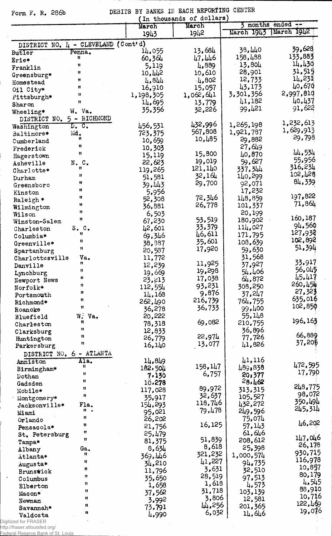## Form F. R. 286b

DEBITS BY BANKS IN EACH REPORTING CENTER<br>(In thousands of dollars)

 $\bar{z}$ 

 $\hat{\mathcal{E}}$ 

 $\bar{\mathcal{A}}$ 

 $\mathcal{L}$ 

|                                     |                             |               | In cuousanus or dorrate) |            | 3 months ended -- |
|-------------------------------------|-----------------------------|---------------|--------------------------|------------|-------------------|
|                                     |                             | March<br>1943 | March<br>1942            | March 1943 | March 1942        |
|                                     |                             |               |                          |            |                   |
| DISTRICT NO. 4 - CLEVELAND (Cont'd) |                             | 14,055        | 13,684                   | 38,440     | 39,628            |
| Butler                              | Penna.<br>Ħ                 | 60,364        | 47,446                   | 158,488    | 133,883           |
| Erie*                               | n                           | 5,119         | 4,889                    | $-13,804$  | 14,430            |
| Franklin                            | Ħ                           | 10,442        | 10,610                   | 28,901     | 31,515            |
| Greensburg*                         | Ħ                           | 4,844         | 4,802                    | 12,733     | 14,231            |
| Homestead                           | Ħ                           | 16,910        | 15,057                   | 43,173     | 40,670            |
| Oil City*                           | Ħ                           | 1,198,305     | 1,062,641                | 3,301,356  | 2,997,810         |
| Pittsburgh*<br>Sharon               | Ħ                           | 14,695        | 13,779                   | 41,182     | 40,437            |
| Wheeling*                           | W. Va.                      | 35,356        | 32,226                   | 99,421     | 91,622            |
| DISTRICT NO.                        | 5 - RICHMOND                |               |                          |            |                   |
| Washington                          | $D_{\bullet}$ $C_{\bullet}$ | 456,531       | 432,996                  | 1,265,198  | 1,232,613         |
| Baltimore*                          | Md.                         | 723,375       | 567,808                  | 1,921,787  | 1,629,913         |
| Cumberland                          | n                           | 10,659        | 10,485                   | 29,882     | 29,798            |
| Frederick                           | Ħ                           | 10,303        |                          | 27,649     |                   |
| Hagerstown                          | Ħ                           | 15,119        | 15,800                   | 40,870     | 44,534            |
| Asheville                           | N.C.                        | 22,623        | 19,019                   | 59,627     | 55,956            |
| Charlotte*                          | Ħ                           | 119,265       | 121,140                  | 337,344    | 316,234           |
| Durham                              | n                           | 51,581        | 32,164                   | 140,299    | 102,428           |
| Greensboro                          | Ħ                           | 39,443        | 29,700                   | 92,071     | 84,339            |
| Kinston                             | Ħ                           | 5,956         |                          | 17,232     |                   |
| Raleigh *                           | Ħ                           | 52,308        | 72,346                   | 148,859    | 197,822           |
| Wilmington                          | 11                          | 36,881        | 26,778                   | 101,337    | 71,864            |
| Wilson                              | 11                          | 6,503         |                          | 20,199     |                   |
| Winston-Salem                       | Ħ                           | 67,230        | 53,519                   | 180,902    | 160,187           |
| Charleston                          | S. C.                       | 42,601        | 33,379                   | 114,027    | 94,560            |
| Columbia*                           | Ħ                           | 69,346        | 46,611                   | 171,795    | 127,932           |
| Greenville*                         | u                           | 38,387        | 35,601                   | 108,639    | 102,892           |
| Spartanburg                         | Ħ                           | 20,587        | 17,920                   | 59,630     | 51,394            |
| Charlottesville                     | Va.                         | 11,772        |                          | 31,568     |                   |
| Danville                            | Ħ                           | 12,239        | 11,925                   | 37,927     | 33,917            |
| Lynchburg                           | Ħ                           | 19,669        | 19,298                   | 54,406     | 56,045            |
| Newport News                        | Ħ                           | 23, 213       | 17,038                   | 64,872     | 45,417            |
| Norfolk*                            | Ħ                           | 112,554       | 93,231                   | 308,250    | 260, 454          |
| Portsmouth                          | n                           | 14,168        | 9,876                    | 37,247     | 27,323            |
| Richmond*                           | Ħ                           | 262,490       | 216,739                  | 764,755    | 635,016           |
| Roanoke                             | Ħ                           | 36,278        | 36,733                   | 99,400     | 102,850           |
| Bluefield                           | W.<br>Va.                   | 20,222        |                          | 55,148     |                   |
| Charleston                          | n                           | 78,318        | 69,082                   | 210,755    | 196,163           |
| Clarksburg                          | Ħ                           | 12,833        |                          | 36,896     | 66,889            |
| Huntington                          | $\mathbf{u}$                | 26,779        | 22,974                   | 77,726     | 37,205            |
| Parkersburg                         | n                           | 16,140        | 13,077                   | 41,826     |                   |
| DISTRICT NO. 6 - ATLANTA            |                             |               |                          |            |                   |
| Anniston                            | Ala.                        | 14,849        |                          | 41,116     | 472,595           |
| Birmingham*                         | n                           | 182,504       | 158,147                  | 489,838    | 17,790            |
| Dothan                              | Ħ                           | 7,130         | 6,757                    | 20,377     |                   |
| Gadsden                             | Ħ                           | 10,278        |                          | 28,462     | 248,775           |
| Mobile*                             | 11                          | 117,028       | 89,972                   | 313,315    | 98,072            |
| Montgomery*                         | Ħ                           | 35,917        | 32,637                   | 105,527    | 350,494           |
| Jacksonville*                       | Fla.                        | 154,293       | 118,746                  | 432,272    | 245.314           |
| Miami                               | $\mathfrak{n}$ .            | 95,021        | 79,478                   | 249,596    |                   |
| Orlando                             | Ħ                           | 26,202        |                          | 75,074     | 46,202            |
| Pensacola*                          | n                           | 21,756        | 16,125                   | 57,143     |                   |
| St. Petersburg                      | n                           | 25,479        |                          | 61,646     | 147,046           |
| Tampa*                              | Ħ                           | 81,375        | 51,839                   | 208,612    | 26,178            |
| Albany                              | Ga.<br>Ħ                    | 8,634         | 8,618                    | 25,398     | 930,715           |
| Atlanta*                            |                             | 369,446       | 321,232                  | 1,000,574  | 116,978           |
| Augusta*                            | Ħ                           | 34,210        | 41,227                   | 94,735     | 10,857            |
| Brunswick                           | Ħ                           | 11,796        | 3,631                    | 32,510     | 80,179            |
| Columbus                            | Ħ                           | 35,650        | 28,519                   | 97,513     | 4,545             |
| Elberton                            | 11                          | 1,658         | 1,618                    | 4,573      | 88,910            |
| Macon*                              | 11                          | 37,562        | 31,718                   | 103,139    | 10,716            |
| Newnan                              | u<br>8                      | 3,992         | 3,806                    | 12,581     | 122,469           |
| Savannah*                           | 11                          | 73,791        | 44,256<br>6,032          | 201,365    | 19,076            |
| Valdosta                            |                             | 4,990         |                          | 14,646     |                   |
| nitized for ERASER                  |                             |               |                          |            |                   |

 $\sim$ 

Digitized for FRASER<br>http://fraser.stlouisfed.org/<br>Federal Reserve Bank of St. Louis

 $\sim$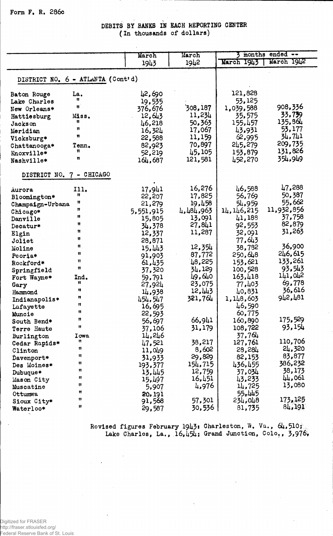Form F. R. 286c

DEBITS BY BANKS IN EACH REPORTING CENTER (In thousands of dollars)

|                                   | March     | March     | months ended -- |                   |  |  |
|-----------------------------------|-----------|-----------|-----------------|-------------------|--|--|
|                                   | 1943      | 1942      | March 1943      | March 1942        |  |  |
|                                   |           |           |                 |                   |  |  |
| DISTRICT NO. 6 - ATLANTA (Cont'd) |           |           |                 |                   |  |  |
| La.<br>Baton Rouge                | 42,690    |           | 121,828         |                   |  |  |
| 11<br>Lake Charles                | 19,535    |           | 53,125          |                   |  |  |
| Ħ<br>New Orleans*                 | 376,676   | 308,187   | 1,039,588       | 908,336           |  |  |
| Miss.<br>Hattiesburg              | 12,643    | 11,234    | 35,575          | 33,739            |  |  |
| n<br><b>Jackson</b>               | 46,218    | 50,363    | 155,457         | 135,864           |  |  |
| $\mathbf{H}$<br>Meridian          | 16,324    | 17,067    | 43,931          | 53,177            |  |  |
| Ħ<br>Vicksburg*                   | 22,588    | 11,159    | 62,995          | 34,741            |  |  |
| Tenn.<br>Chattanooga*             | 82,923    | 70,897    | 245,279         | 209,735           |  |  |
| Ħ<br>Knoxville*                   | 52,219    | 45,105    | 153,879         | 131,826           |  |  |
| n<br>Nashville*                   | 164,687   | 121,581   | 452,270         | 354.949           |  |  |
|                                   |           |           |                 |                   |  |  |
| DISTRICT NO. 7 - CHICAGO          |           |           |                 |                   |  |  |
| 111.<br>Aurora                    | 17,941    | 16,276    | 46,588          | 47,288            |  |  |
| n<br>Bloomington*                 | 22,207    | 17,825    | 56,769          | 50,387            |  |  |
| Ħ<br>Champaign-Urbana             | 21,279    | 19,458    | 54,959          | 55,662            |  |  |
| n<br>Chicago*                     | 5,551,915 | 4,484,963 | 14, 146, 215    | 11,932,856        |  |  |
| 11<br>Danville                    | 15,805    | 13,091    | 41,188          | 37,758            |  |  |
| u<br>Decatur*                     | 34,378    | 27,841    | 92,553          | 82,879            |  |  |
| Ħ<br>Elgin                        | 12,337    | 11,287    | 32,091          | 31,263            |  |  |
| Ħ<br>Joliet                       | 28,871    |           | 77,643          |                   |  |  |
| Ħ.<br>Moline                      | 15,443    | 12,354    | 38,782          | 36,900            |  |  |
| Ħ<br>Peoria*                      | 91,903    | 87,772    | 250,648         | 246,615           |  |  |
| Ħ<br>Rockford*                    | 61,435    | 48,225    | 153,621         | 133,261           |  |  |
| Ħ<br>Springfield                  | 37,320    | 34,129    | 100,528         | 93,543            |  |  |
| Ind.<br>Fort Wayne*               | 59,791    | 49,640    | 163,418         | 141,042           |  |  |
| Ħ<br>Gary                         | 27,924    | 23,075    | 77,403          | 69,778            |  |  |
| Ħ<br>Hammond                      | 14,938    | 12,443    | 40,831          | 36,616            |  |  |
| n<br>Indianapolis*<br>11          | 454,547   | 321,764   | 1,148,603       | 942,481           |  |  |
| Lafayette<br>Ħ                    | 16,695    |           | 46,590          |                   |  |  |
| Muncie<br>n                       | 22,593    |           | 60,775          |                   |  |  |
| South Bend*<br>11                 | 56,697    | 66,941    | 160,890         | 175,529           |  |  |
| Terre Haute                       | 37,106    | 31,179    | 108,722         | 93,154            |  |  |
| Burlington<br>Iowa<br>Ħ           | 14,246    |           | 37,764          | 110,706           |  |  |
| Cedar Rapids*<br>n                | 47,521    | 38,217    | 127,761         | 24,320            |  |  |
| Clinton<br>Ħ                      | 11,049    | 8,602     | 28,284          |                   |  |  |
| Davenport*<br>Ħ                   | 31,933    | 29,829    | 82,153          | 83,877<br>386,232 |  |  |
| Des Moines*<br>n                  | 193,377   | 154,715   | 436,455         |                   |  |  |
| Dubuque*<br>Ħ                     | 13,445    | 12,759    | 37,034          | 38,173<br>44,061  |  |  |
| Mason City<br>Ħ                   | 15,497    | 16,451    | 43,233          | 13,080            |  |  |
| Muscatine<br>n                    | 5,907     | 4,976     | 14,725          |                   |  |  |
| Ottumwa<br>11                     | 20,191    |           | 55.445          | 173, 125          |  |  |
| Sioux City*<br>Ħ                  | 91,568    | 57,301    | 234,048         | 84,191            |  |  |
| Waterloo*                         | 29,587    | 30,536    | 81,735          |                   |  |  |

Revised figures February 1943: Charleston, W. Va., 64,510;<br>Lake Charles, La., 16,454; Grand Junction, Colo,, 3,976.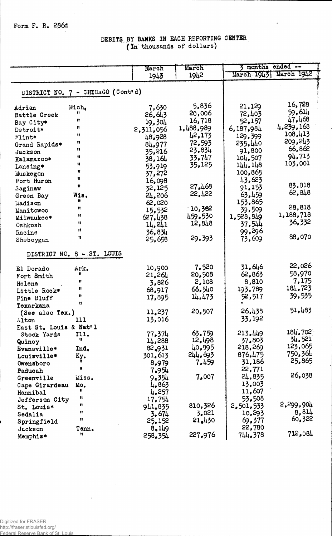Form F. R. 286d

### DEBITS BY BANKS IN EACH REPORTING CENTER (In thousands of dollars)

|                        |                                   | March           | March     | months ended --        |                   |
|------------------------|-----------------------------------|-----------------|-----------|------------------------|-------------------|
|                        |                                   | 1943            | 1942      | March 1943  March 1942 |                   |
|                        |                                   |                 |           |                        |                   |
|                        | DISTRICT NO. 7 - CHICAGO (Cont'd) |                 |           |                        |                   |
|                        |                                   |                 |           |                        |                   |
| Adrian                 | Mich.                             | 7,630           | 5,836     | 21,129                 | 16,728            |
| Battle Creek           | Ħ                                 | 26,643          | 20,006    | 72,403                 | 59,614            |
| Bay City*              | u                                 | 19,304          | 16,718    | 52,157                 | 47,468            |
| Detroit*               | n                                 | 2,311,056       | 1,488,989 | 6,187,984              | 4,239,168         |
| Flint*                 | 11                                | 48,928          | 42,173    | 129,399                | 108,413           |
| Grand Rapids*          | Ħ                                 | 84,977          | 72,593    | 235,440                | 209,243           |
| Jackson                | Ħ                                 | 35,216          | 23,834    | 91,800                 | 66,862            |
| Kalamazoo*             | Ħ                                 | 38,164          | 33.747    | 104,507                | 94,713            |
| Lansing*               | Ħ                                 | 53,919          | 35,125    | 144, 148               | 103,001           |
| Muskegon               | n                                 | 37,272          |           | 100,865                |                   |
| Port Huron             | Ħ                                 | 16,098          |           | 43,623                 |                   |
| Saginaw                | Ħ                                 | 32,125          | 27.468    | 91,153                 | 83,818            |
| Green Bay              | Wis.                              | 24,206          | 22,122    | 63.459                 | 62,848            |
| Madison                | Ħ                                 | 62,020          |           | 153,865                |                   |
| Manitowoc              | $\mathbf{H}$                      | 15,532          | 10,382    | 39,509                 | 28,818            |
| Milwaukee*             | Ħ                                 | 627.438         | 459.530   | 1,528,849              | 1,188,718         |
| Oshkosh                | Ħ                                 | 14,241          | 12,848    | 37,544                 | 36,332            |
| Racine                 | Ħ                                 | 36,834          |           | 99,296                 |                   |
| Sheboygan              | Ħ                                 | 25,658          | 29,393    | 73,609                 | 88,070            |
|                        |                                   |                 |           |                        |                   |
|                        | DISTRICT NO. 8 - ST. LOUIS        |                 |           |                        |                   |
| El Dorado              | Ark.                              | 10,900          | 7,520     | 31,646                 | 22,026            |
| Fort Smith             | Ħ                                 | 21,264          | 20,508    | 62,863                 | 58,970            |
| Helena                 | n                                 | 3,826           | 2,108     | 8,810                  | 7,175             |
| Little Rock*           | Ħ                                 | 68,917          | 66,540    | 193,789                | 184,723           |
| Pine Bluff             | n                                 | 17,895          | 14,473    | 52,517                 | 39,535            |
| Texarkana              | u                                 |                 |           |                        |                   |
| (See also Tex.)        |                                   | 11,237          | 20,507    | 26,438                 | 51,483            |
| Alton                  | 111                               | 13,016          |           | 33,192                 |                   |
| East St. Louis & Nat'l |                                   |                 |           |                        |                   |
| Stock Yards            | 111.                              | 77.374          | 63,759    | 213.449                | 184,702           |
| Quincy                 | Ħ                                 | 14,288          | 12,498    | 37.803                 | 34,521            |
| Evansville*            | Ind.                              | 82.931          | 40,895    | 218,269                | 123,065           |
| Louisville*            | Ky.                               | 301,613         | 244.693   | 876.475                | 750,364<br>25,865 |
| Owensboro              | Ħ.,<br>Ħ                          | 8,979           | 7.459     | 31,186                 |                   |
| Paducah                |                                   | 7.954           |           | 22,771                 | 26,038            |
| Greenville             | Miss.                             | 9.354           | 7,007     | 24,835                 |                   |
| Cape Girardeau         | Mo.<br>Ħ                          | 4.863           |           | 13,003                 |                   |
| Hannibal               | Ħ                                 | 4,257           |           | 11,607                 |                   |
| Jefferson City         | Ħ                                 | 17,754          | 810,326   | 53,508                 | 2,299,904         |
| St. Louis*             | Ħ                                 | 941,835         | 3,021     | 2,501,533              | 8,814             |
| Sedalia                | Ħ                                 | 3.674           | 21.430    | 10,293<br>69,377       | 60,322            |
| Springfield            |                                   | 25,152<br>8,149 |           | 22,780                 |                   |
| Jackson                | Tenn.<br>n                        | 258.354         | 227.976   | 744.378                | 712,084           |
| Memphis*               |                                   |                 |           |                        |                   |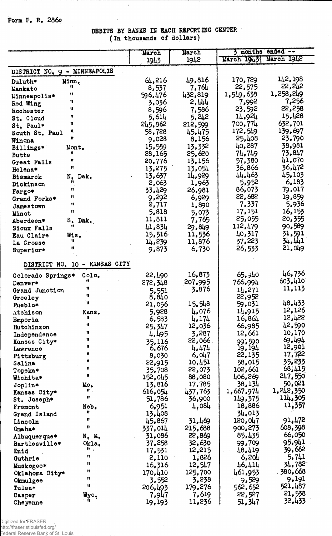### Form F. R. 286e

### DEBITS BY BANKS IN EACH REPORTING CENTER (In thousands of dollars)

 $\bar{ }$ 

 $\ddot{\phantom{a}}$ 

|                                  | March                 | March             | months ended --   |                   |
|----------------------------------|-----------------------|-------------------|-------------------|-------------------|
|                                  | 1943                  | 1942              | March 1943        | March 1942        |
| DISTRICT NO. 9 - MINNEAPOLIS     |                       |                   |                   |                   |
| Minn.<br>Duluth*                 | 64,216                | 49,816            | 170,729           | 142,198           |
| n<br>Mankato                     | 8,537                 | 7.761             | 22,575            | 52,242            |
| 11<br>Minneapolis*               | 596,476               | 432,819           | 1,549,638         | 1,258,249         |
| Ħ<br>Red Wing                    | 3,036                 | 2,444             | 7,992             | 7,256             |
| Ħ<br>Rochester                   | 8,596                 | 7,586             | 23,592            | 22,258            |
| n<br>St. Cloud                   | 5.614                 | 5,242             | 14,924            | 15,428            |
| Ħ<br>St. Paul*                   | 245,862               | 212,599           | 700,774           | 632,701           |
| Ħ<br>South St. Paul              | 58,728                | 45,475            | 172,549           | 139.697           |
| Ħ<br>Winona                      | 9,028                 | 8,156             | 25,408            | 23,790            |
| Billings*<br>Mont.               | 15,559                | 13,332            | 40,287            | 38,981            |
| Ħ<br><b>Butte</b><br>Ħ           | 28,165                | 25,620            | 74,749            | 73,847            |
| Great Falls<br>Ħ                 | 20,776                | 13,156            | 57,380            | 41,070<br>36,472  |
| Helena*                          | 13,275                | 13,054            | 36,866<br>44,463  | 45,103            |
| N.<br>Dak.<br><b>Bismarck</b>    | 13,637<br>V.<br>2,063 | 14,929<br>1,963   | 5,952             | 6,183             |
| Dickinson<br>u                   | 33,429                | 26,981            | 86,073            | 79,017            |
| Fargo*<br>Ħ<br>Grand Forks*      | 9,292                 | 6,929             | 22,682            | 19,859            |
| n                                | 2,717                 | 1,890             | 7,337             | 5,936             |
| Jamestown<br>$\mathbf{H}$        | 5,818                 | 5,073             | 17,151            | 16,153            |
| Minot<br>S. Dak.<br>Aberdeen*    | 11,811                | 7,765             | 25,055            | 20,355            |
| Ħ.<br>Sioux Falls                | 41,834                | 29,849            | 112,479           | 90,589            |
| Wis.<br>Eau Claire               | 15,516                | 11,536            | 40,317            | 31,591            |
| Ħ<br>La Crosse                   | 14,239                | 11,876            | 37,223            | 34,441            |
| n<br>Superior*                   | 9,873                 | 6,730             | 26,533            | 21,049            |
| DISTRICT NO. 10 - KANSAS CITY    |                       |                   |                   | 46,736            |
| Colo.<br>Colorado Springs*<br>n  | 22,490                | 16,873            | 65,940            | 603,410           |
| Denver*<br>Ħ                     | 272,348               | 207,995<br>3,876  | 766,994           | 11,113            |
| Grand Junction<br>n              | 5,551<br>8,840        |                   | 14,271<br>22,952  |                   |
| Greeley<br>Ħ<br>Pueblo*          | 21,056                | 15,548            | 59,031            | 48,433            |
| Kans.<br>Atchison                | 5,928                 | 4,076             | 14,915            | 12,126            |
| n<br>Emporia                     | 6,583                 | 4,174             | 16,864            | 15,422            |
| Ħ<br>Hutchinson                  | 25,347                | 12,036            | 66,985            | 42,590            |
| Ħ<br>Independence                | 4,495                 | 3,287             | 12,661            | 10,170            |
| n<br>Kansas City*                | 35,116                | 22,066            | 99.590            | 69,494            |
| Ħ<br>Lawrence                    | 6,676                 | 4,474             | 19, 194           | 12,901            |
| n<br>Pittsburg                   | 8,030                 | 6,047             | 22,135            | 17,722            |
| Ħ<br>Salina<br>Ħ                 | 22,915                | 10,451            | 58,015            | 35,233            |
| Topeka*<br>Ħ                     | 35,708                | 22,073            | 102,661           | 68,415            |
| Wichita*                         | 152,045               | 88,080            | 406,269<br>38,134 | 247,550<br>50,021 |
| Joplin*<br>Mo.<br>Ħ.,            | 13,816<br>616,054     | 17,785<br>437,763 | 1,667,974         | 1, 242, 350       |
| Kansas City*<br>Ħ<br>St. Joseph* | 51,786                | 36,900            | 149,375           | 114,305           |
| Neb.<br>Fremont                  | 6,951                 | 4,084             | 18,886            | 11,357            |
| n<br>Grand Island                | 13,408                |                   | 34.013            |                   |
| n<br>Lincoln                     | 45,867                | 31,469            | 120,047           | 91,472            |
| Ħ<br>Omaha*                      | 337,014               | 215,688           | 900,273           | 608,398           |
| N. M.<br>Albuquerque*            | 31,086                | 22,869            | 85,435            | 66,050            |
| Okla.<br>Bartlesville*           | 37,258                | 32,630            | 99,709            | 95,941            |
| Ħ.,<br>Enid                      | 17,531                | 12,215            | 48,419            | 39,662            |
| Ħ<br>Guthrie                     | 2,110                 | 1,826             | 6,204             | 5,741             |
| Ħ<br>Muskogee*                   | 16,316                | 12,547            | 46,414            | 34,782            |
| n<br>Oklahoma City*              | 170,410               | 125,700           | 461,953           | 380,668           |
| Ħ<br>Okmulgee                    | 3,552                 | 3,238             | 9,529             | 9,191             |
| Ħ<br>Tulsa*                      | 206,493               | 179,276           | 562,652           | 521,487           |
| $W_{\nu}^{\mathrm{V}}$<br>Casper | 7,947                 | 7,619             | 22,527            | 21,538            |
| Cheyenne                         | 19,193                | 11,236            | 51,347            | 32.433            |

.<br>Digitized for FRASER<br>Tederal Reserve Bank of St. Louis